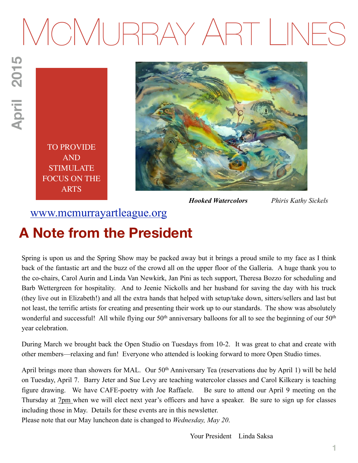# MCMURRAY ART LINES

April 2015 **April 2015**

> TO PROVIDE AND STIMULATE FOCUS ON THE ARTS



*Hooked Watercolors Phiris Kathy Sickels*

# [www.mcmurrayartleague.org](http://www.mcmurrayartleague.org)

# **A Note from the President**

Spring is upon us and the Spring Show may be packed away but it brings a proud smile to my face as I think back of the fantastic art and the buzz of the crowd all on the upper floor of the Galleria. A huge thank you to the co-chairs, Carol Aurin and Linda Van Newkirk, Jan Pini as tech support, Theresa Bozzo for scheduling and Barb Wettergreen for hospitality. And to Jeenie Nickolls and her husband for saving the day with his truck (they live out in Elizabeth!) and all the extra hands that helped with setup/take down, sitters/sellers and last but not least, the terrific artists for creating and presenting their work up to our standards. The show was absolutely wonderful and successful! All while flying our 50<sup>th</sup> anniversary balloons for all to see the beginning of our 50<sup>th</sup> year celebration.

During March we brought back the Open Studio on Tuesdays from 10-2. It was great to chat and create with other members—relaxing and fun! Everyone who attended is looking forward to more Open Studio times.

April brings more than showers for MAL. Our 50<sup>th</sup> Anniversary Tea (reservations due by April 1) will be held on Tuesday, April 7. Barry Jeter and Sue Levy are teaching watercolor classes and Carol Kilkeary is teaching figure drawing. We have CAFE-poetry with Joe Raffaele. Be sure to attend our April 9 meeting on the Thursday at 7pm when we will elect next year's officers and have a speaker. Be sure to sign up for classes including those in May. Details for these events are in this newsletter.

Please note that our May luncheon date is changed to *Wednesday, May 20*.

Your President Linda Saksa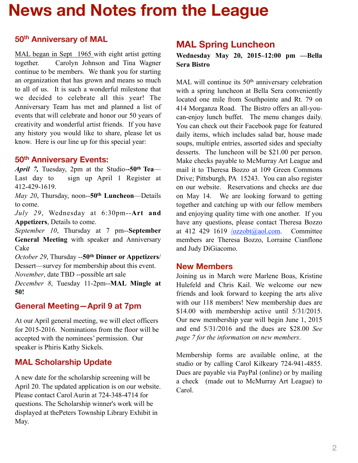# **News and Notes from the League**

## **50th Anniversary of MAL**

MAL began in Sept 1965 with eight artist getting together. Carolyn Johnson and Tina Wagner continue to be members. We thank you for starting an organization that has grown and means so much to all of us. It is such a wonderful milestone that we decided to celebrate all this year! The Anniversary Team has met and planned a list of events that will celebrate and honor our 50 years of creativity and wonderful artist friends. If you have any history you would like to share, please let us know. Here is our line up for this special year:

#### **50th Anniversary Events:**

*April 7,* Tuesday, 2pm at the Studio-**-50th Tea**— Last day to sign up April 1 Register at 412-429-1619.

*May 20*, Thursday, noon--**50th Luncheon**—Details to come.

*July 29*, Wednesday at 6:30pm--**Art and Appetizers**, Details to come.

*September 10*, Thursday at 7 pm--**September General Meeting** with speaker and Anniversary Cake

*October 29*, Thursday --**50th Dinner or Appetizers**/ Dessert—survey for membership about this event.

*November*, date TBD --possible art sale

*December 8*, Tuesday 11-2pm--**MAL Mingle at 50!**

# **General Meeting—April 9 at 7pm**

At our April general meeting, we will elect officers for 2015-2016. Nominations from the floor will be accepted with the nominees' permission. Our speaker is Phiris Kathy Sickels.

# **MAL Scholarship Update**

A new date for the scholarship screening will be April 20. The updated application is on our website. Please contact Carol Aurin at 724-348-4714 for questions. The Scholarship winner's work will be displayed at thePeters Township Library Exhibit in May.

# **MAL Spring Luncheon**

**Wednesday May 20, 2015–12:00 pm —Bella Sera Bistro** 

MAL will continue its 50<sup>th</sup> anniversary celebration with a spring luncheon at Bella Sera conveniently located one mile from Southpointe and Rt. 79 on 414 Morganza Road. The Bistro offers an all-youcan-enjoy lunch buffet. The menu changes daily. You can check out their Facebook page for featured daily items, which includes salad bar, house made soups, multiple entries, assorted sides and specialty desserts. The luncheon will be \$21.00 per person. Make checks payable to McMurray Art League and mail it to Theresa Bozzo at 109 Green Commons Drive; Pittsburgh, PA 15243. You can also register on our website. Reservations and checks are due on May 14. We are looking forward to getting together and catching up with our fellow members and enjoying quality time with one another. If you have any questions, please contact Theresa Bozzo at 412 429 1619  $\sqrt{ozzobt(a/aol.com)}$ . Committee members are Theresa Bozzo, Lorraine Cianflone and Judy DiGiacomo.

#### **New Members**

Joining us in March were Marlene Boas, Kristine Hulefeld and Chris Kail. We welcome our new friends and look forward to keeping the arts alive with our 118 members! New membership dues are \$14.00 with membership active until  $5/31/2015$ . Our new membership year will begin June 1, 2015 and end 5/31/2016 and the dues are \$28.00 *See page 7 for the information on new members*.

Membership forms are available online, at the studio or by calling Carol Kilkeary 724-941-4855. Dues are payable via PayPal (online) or by mailing a check (made out to McMurray Art League) to Carol.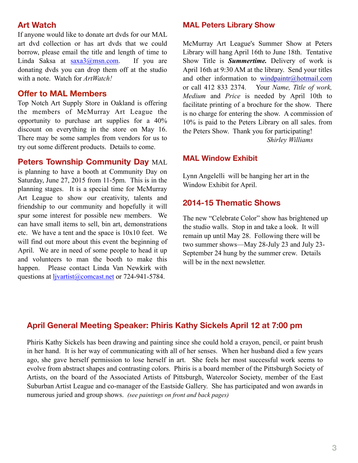#### **Art Watch**

If anyone would like to donate art dvds for our MAL art dvd collection or has art dvds that we could borrow, please email the title and length of time to Linda Saksa at  $saxa3@mmn.com$ . If you are donating dvds you can drop them off at the studio with a note. Watch for *ArtWatch!*

#### **Offer to MAL Members**

Top Notch Art Supply Store in Oakland is offering the members of McMurray Art League the opportunity to purchase art supplies for a 40% discount on everything in the store on May 16. There may be some samples from vendors for us to try out some different products. Details to come.

#### **Peters Township Community Day** MAL

is planning to have a booth at Community Day on Saturday, June 27, 2015 from 11-5pm. This is in the planning stages. It is a special time for McMurray Art League to show our creativity, talents and friendship to our community and hopefully it will spur some interest for possible new members. We can have small items to sell, bin art, demonstrations etc. We have a tent and the space is 10x10 feet. We will find out more about this event the beginning of April. We are in need of some people to head it up and volunteers to man the booth to make this happen. Please contact Linda Van Newkirk with questions at *livartist@comcast.net* or 724-941-5784.

#### **MAL Peters Library Show**

McMurray Art League's Summer Show at Peters Library will hang April 16th to June 18th. Tentative Show Title is *Summertime.* Delivery of work is April 16th at 9:30 AM at the library. Send your titles and other information to [windpaintr@hotmail.com](mailto:windpaintr@hotmail.com?subject=) or call 412 833 2374. Your *Name, Title of work, Medium* and *Price* is needed by April 10th to facilitate printing of a brochure for the show. There is no charge for entering the show. A commission of 10% is paid to the Peters Library on all sales. from the Peters Show. Thank you for participating! *Shirley Williams* 

#### **MAL Window Exhibit**

Lynn Angelelli will be hanging her art in the Window Exhibit for April.

#### **2014-15 Thematic Shows**

The new "Celebrate Color" show has brightened up the studio walls. Stop in and take a look. It will remain up until May 28. Following there will be two summer shows—May 28-July 23 and July 23- September 24 hung by the summer crew. Details will be in the next newsletter.

## **April General Meeting Speaker: Phiris Kathy Sickels April 12 at 7:00 pm**

Phiris Kathy Sickels has been drawing and painting since she could hold a crayon, pencil, or paint brush in her hand. It is her way of communicating with all of her senses. When her husband died a few years ago, she gave herself permission to lose herself in art. She feels her most successful work seems to evolve from abstract shapes and contrasting colors. Phiris is a board member of the Pittsburgh Society of Artists, on the board of the Associated Artists of Pittsburgh, Watercolor Society, member of the East Suburban Artist League and co-manager of the Eastside Gallery. She has participated and won awards in numerous juried and group shows. *(see paintings on front and back pages)*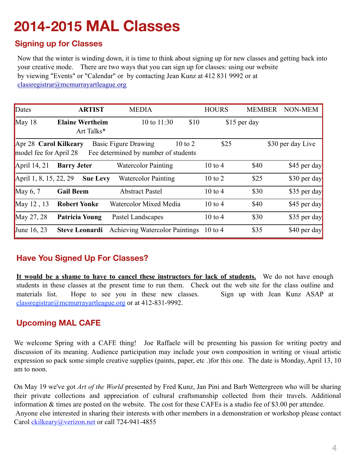# **2014-2015 MAL Classes**

## **Signing up for Classes**

Now that the winter is winding down, it is time to think about signing up for new classes and getting back into your creative mode. There are two ways that you can sign up for classes: using our website by viewing "Events" or "Calendar" or by contacting Jean Kunz at 412 831 9992 or at [classregistrar@mcmurrayartleague.org](mailto:classregistrar@mcmurrayartleague.org)

| Dates                                                                                                                                                              | <b>ARTIST</b>                        | <b>MEDIA</b>                          | <b>HOURS</b> | <b>MEMBER</b> | NON-MEM      |  |  |  |
|--------------------------------------------------------------------------------------------------------------------------------------------------------------------|--------------------------------------|---------------------------------------|--------------|---------------|--------------|--|--|--|
| $\text{May } 18$                                                                                                                                                   | <b>Elaine Wertheim</b><br>Art Talks* | 10 to 11:30<br>\$10                   |              | \$15 per day  |              |  |  |  |
| \$25<br>Apr 28 Carol Kilkeary<br><b>Basic Figure Drawing</b><br>$10$ to $2$<br>\$30 per day Live<br>model fee for April 28<br>Fee determined by number of students |                                      |                                       |              |               |              |  |  |  |
| April $14, 21$                                                                                                                                                     | <b>Barry Jeter</b>                   | <b>Watercolor Painting</b>            | $10$ to $4$  | \$40          | \$45 per day |  |  |  |
| April 1, 8, 15, 22, 29                                                                                                                                             | <b>Sue Levy</b>                      | <b>Watercolor Painting</b>            | $10$ to $2$  | \$25          | \$30 per day |  |  |  |
| May $6, 7$                                                                                                                                                         | <b>Gail Beem</b>                     | <b>Abstract Pastel</b>                | $10$ to $4$  | \$30          | \$35 per day |  |  |  |
| May 12, 13                                                                                                                                                         | <b>Robert Yonke</b>                  | Watercolor Mixed Media                | $10$ to $4$  | \$40          | \$45 per day |  |  |  |
| May 27, 28                                                                                                                                                         | <b>Patricia Young</b>                | Pastel Landscapes                     | $10$ to $4$  | \$30          | \$35 per day |  |  |  |
| June $16, 23$                                                                                                                                                      | <b>Steve Leonardi</b>                | <b>Achieving Watercolor Paintings</b> | $10$ to $4$  | \$35          | \$40 per day |  |  |  |

# **Have You Signed Up For Classes?**

**It would be a shame to have to cancel these instructors for lack of students.** We do not have enough students in these classes at the present time to run them. Check out the web site for the class outline and materials list. Hope to see you in these new classes. Sign up with Jean Kunz ASAP at [classregistrar@mcmurrayartleague.org](mailto:classregistrar@mcmurrayartleague.org) or at 412-831-9992.

# **Upcoming MAL CAFE**

We welcome Spring with a CAFE thing! Joe Raffaele will be presenting his passion for writing poetry and discussion of its meaning. Audience participation may include your own composition in writing or visual artistic expression so pack some simple creative supplies (paints, paper, etc .)for this one. The date is Monday, April 13, 10 am to noon.

On May 19 we've got *Art of the World* presented by Fred Kunz, Jan Pini and Barb Wettergreen who will be sharing their private collections and appreciation of cultural craftsmanship collected from their travels. Additional information & times are posted on the website. The cost for these CAFEs is a studio fee of \$3.00 per attendee. Anyone else interested in sharing their interests with other members in a demonstration or workshop please contact Carol [ckilkeary@verizon.net](mailto:ckilkeary@verizon.net) or call 724-941-4855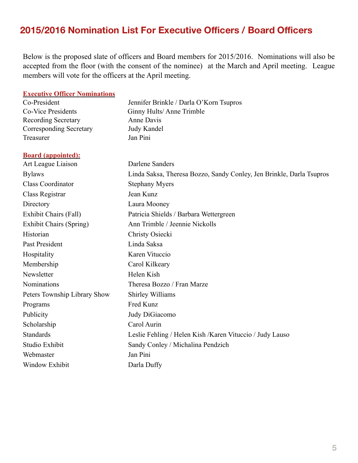# **2015/2016 Nomination List For Executive Officers / Board Officers**

Below is the proposed slate of officers and Board members for 2015/2016. Nominations will also be accepted from the floor (with the consent of the nominee) at the March and April meeting. League members will vote for the officers at the April meeting.

#### **Executive Officer Nominations**

| Co-President                   | Jennifer Brinkle / Darla O'Korn Tsupros                              |  |  |  |
|--------------------------------|----------------------------------------------------------------------|--|--|--|
| <b>Co-Vice Presidents</b>      | Ginny Hults/Anne Trimble                                             |  |  |  |
| <b>Recording Secretary</b>     | Anne Davis                                                           |  |  |  |
| Corresponding Secretary        | Judy Kandel                                                          |  |  |  |
| Treasurer                      | Jan Pini                                                             |  |  |  |
| <b>Board (appointed):</b>      |                                                                      |  |  |  |
| Art League Liaison             | Darlene Sanders                                                      |  |  |  |
| <b>Bylaws</b>                  | Linda Saksa, Theresa Bozzo, Sandy Conley, Jen Brinkle, Darla Tsupros |  |  |  |
| <b>Class Coordinator</b>       | <b>Stephany Myers</b>                                                |  |  |  |
| Class Registrar                | Jean Kunz                                                            |  |  |  |
| Directory                      | Laura Mooney                                                         |  |  |  |
| Exhibit Chairs (Fall)          | Patricia Shields / Barbara Wettergreen                               |  |  |  |
| <b>Exhibit Chairs (Spring)</b> | Ann Trimble / Jeennie Nickolls                                       |  |  |  |
| Historian                      | Christy Osiecki                                                      |  |  |  |
| Past President                 | Linda Saksa                                                          |  |  |  |
| Hospitality                    | Karen Vituccio                                                       |  |  |  |
| Membership                     | Carol Kilkeary                                                       |  |  |  |
| Newsletter                     | Helen Kish                                                           |  |  |  |
| <b>Nominations</b>             | Theresa Bozzo / Fran Marze                                           |  |  |  |
| Peters Township Library Show   | Shirley Williams                                                     |  |  |  |
| Programs                       | Fred Kunz                                                            |  |  |  |
| Publicity                      | Judy DiGiacomo                                                       |  |  |  |
| Scholarship                    | Carol Aurin                                                          |  |  |  |
| <b>Standards</b>               | Leslie Fehling / Helen Kish / Karen Vituccio / Judy Lauso            |  |  |  |
| Studio Exhibit                 | Sandy Conley / Michalina Pendzich                                    |  |  |  |
| Webmaster                      | Jan Pini                                                             |  |  |  |
| Window Exhibit                 | Darla Duffy                                                          |  |  |  |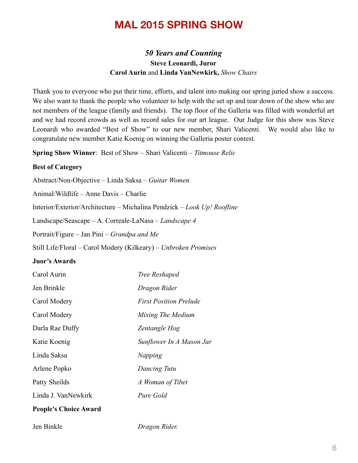# **MAL 2015 SPRING SHOW**

#### *50 Years and Counting* **Steve Leonardi, Juror Carol Aurin** and **Linda VanNewkirk,** *Show Chairs*

Thank you to everyone who put their time, efforts, and talent into making our spring juried show a success. We also want to thank the people who volunteer to help with the set up and tear down of the show who are not members of the league (family and friends). The top floor of the Galleria was filled with wonderful art and we had record crowds as well as record sales for our art league. Our Judge for this show was Steve Leonardi who awarded "Best of Show" to our new member, Shari Valicenti. We would also like to congratulate new member Katie Koenig on winning the Galleria poster contest.

**Spring Show Winner**: Best of Show – Shari Valicenti – *Titmouse Relic*

#### **Best of Category**

Abstract/Non-Objective – Linda Saksa – *Guitar Women*

Animal/Wildlife – Anne Davis – Charlie

Interior/Exterior/Architecture – Michalina Pendzick – *Look Up! Roofline*

Landscape/Seascape – A. Correale-LaNasa – *Landscape 4*

Portrait/Figure – Jan Pini – *Grandpa and Me*

Still Life/Floral – Carol Modery (Kilkeary) – *Unbroken Promises* 

#### **Juor's Awards**

| Carol Aurin                  | Tree Reshaped                 |
|------------------------------|-------------------------------|
| Jen Brinkle                  | Dragon Rider                  |
| Carol Modery                 | <b>First Position Prelude</b> |
| Carol Modery                 | Mixing The Medium             |
| Darla Rae Duffy              | Zentangle Hog                 |
| Katie Koenig                 | Sunflower In A Mason Jar      |
| Linda Saksa                  | Napping                       |
| Arlene Popko                 | Dancing Tutu                  |
| Patty Sheilds                | A Woman of Tibet              |
| Linda J. VanNewkirk          | Pure Gold                     |
| <b>People's Choice Award</b> |                               |

Jen Binkle *Dragon Rider.*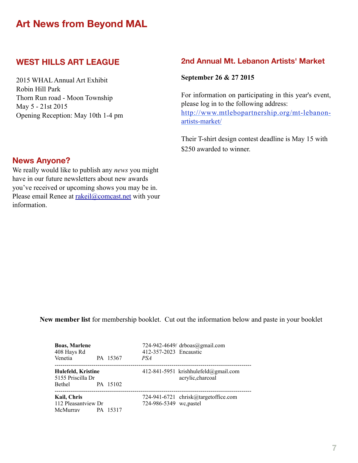# **Art News from Beyond MAL**

# **WEST HILLS ART LEAGUE**

2015 WHAL Annual Art Exhibit Robin Hill Park Thorn Run road - Moon Township May 5 - 21st 2015 Opening Reception: May 10th 1-4 pm

#### **2nd Annual Mt. Lebanon Artists' Market**

#### **September 26 & 27 2015**

For information on participating in this year's event, please log in to the following address: [http://www.mtlebopartnership.org/mt-lebanon](http://www.mtlebopartnership.org/mt-lebanon-artists-market/)artists-market/

Their T-shirt design contest deadline is May 15 with \$250 awarded to winner.

#### **News Anyone?**

We really would like to publish any *news* you might have in our future newsletters about new awards you've received or upcoming shows you may be in. Please email Renee at [rakeil@comcast.net](mailto:rakeil@comcast.net) with your information.

**New member list** for membership booklet. Cut out the information below and paste in your booklet

| <b>Boas, Marlene</b><br>408 Hays Rd                   |                 | 412-357-2023 Encaustic | 724-942-4649/ drboas@gmail.com                            |
|-------------------------------------------------------|-----------------|------------------------|-----------------------------------------------------------|
| Venetia                                               | PA 15367        | PSA                    |                                                           |
| Hulefeld, Kristine<br>5155 Priscilla Dr<br>Bethel     | PA 15102        |                        | 412-841-5951 krishhulefeld@gmail.com<br>acrylic, charcoal |
| <b>Kail, Chris</b><br>112 Pleasantview Dr<br>McMurray | <b>PA 15317</b> | 724-986-5349 wc.pastel | 724-941-6721 chrisk@targetoffice.com                      |